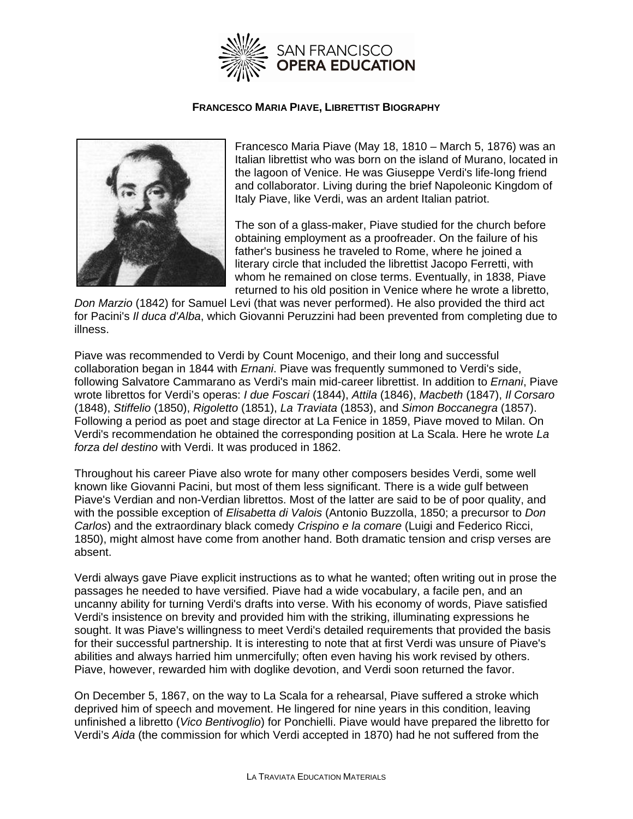

## **FRANCESCO MARIA PIAVE, LIBRETTIST BIOGRAPHY**



Francesco Maria Piave (May 18, 1810 – March 5, 1876) was an Italian librettist who was born on the island of Murano, located in the lagoon of Venice. He was Giuseppe Verdi's life-long friend and collaborator. Living during the brief Napoleonic Kingdom of Italy Piave, like Verdi, was an ardent Italian patriot.

The son of a glass-maker, Piave studied for the church before obtaining employment as a proofreader. On the failure of his father's business he traveled to Rome, where he joined a literary circle that included the librettist Jacopo Ferretti, with whom he remained on close terms. Eventually, in 1838, Piave returned to his old position in Venice where he wrote a libretto,

*Don Marzio* (1842) for Samuel Levi (that was never performed). He also provided the third act for Pacini's *Il duca d'Alba*, which Giovanni Peruzzini had been prevented from completing due to illness.

Piave was recommended to Verdi by Count Mocenigo, and their long and successful collaboration began in 1844 with *Ernani*. Piave was frequently summoned to Verdi's side, following Salvatore Cammarano as Verdi's main mid-career librettist. In addition to *Ernani*, Piave wrote librettos for Verdi's operas: *I due Foscari* (1844), *Attila* (1846), *Macbeth* (1847), *Il Corsaro*  (1848), *Stiffelio* (1850), *Rigoletto* (1851), *La Traviata* (1853), and *Simon Boccanegra* (1857). Following a period as poet and stage director at La Fenice in 1859, Piave moved to Milan. On Verdi's recommendation he obtained the corresponding position at La Scala. Here he wrote *La forza del destino* with Verdi. It was produced in 1862.

Throughout his career Piave also wrote for many other composers besides Verdi, some well known like Giovanni Pacini, but most of them less significant. There is a wide gulf between Piave's Verdian and non-Verdian librettos. Most of the latter are said to be of poor quality, and with the possible exception of *Elisabetta di Valois* (Antonio Buzzolla, 1850; a precursor to *Don Carlos*) and the extraordinary black comedy *Crispino e la comare* (Luigi and Federico Ricci, 1850), might almost have come from another hand. Both dramatic tension and crisp verses are absent.

Verdi always gave Piave explicit instructions as to what he wanted; often writing out in prose the passages he needed to have versified. Piave had a wide vocabulary, a facile pen, and an uncanny ability for turning Verdi's drafts into verse. With his economy of words, Piave satisfied Verdi's insistence on brevity and provided him with the striking, illuminating expressions he sought. It was Piave's willingness to meet Verdi's detailed requirements that provided the basis for their successful partnership. It is interesting to note that at first Verdi was unsure of Piave's abilities and always harried him unmercifully; often even having his work revised by others. Piave, however, rewarded him with doglike devotion, and Verdi soon returned the favor.

On December 5, 1867, on the way to La Scala for a rehearsal, Piave suffered a stroke which deprived him of speech and movement. He lingered for nine years in this condition, leaving unfinished a libretto (*Vico Bentivoglio*) for Ponchielli. Piave would have prepared the libretto for Verdi's *Aida* (the commission for which Verdi accepted in 1870) had he not suffered from the